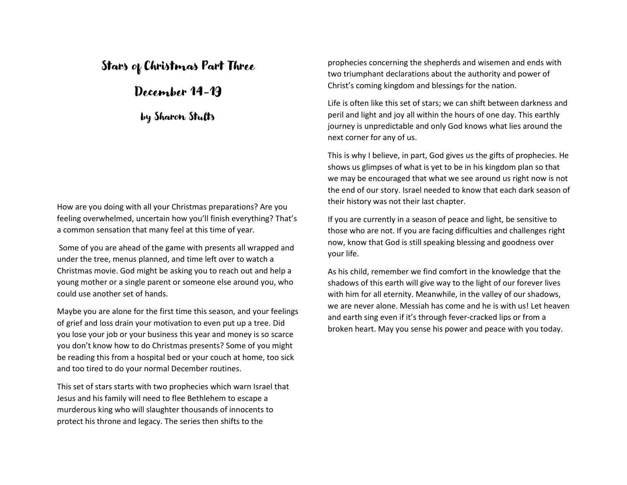# Stars of Christmas Part Three

# December 14-19

by Sharon Stults

How are you doing with all your Christmas preparations? Are you feeling overwhelmed, uncertain how you'll finish everything? That's a common sensation that many feel at this time of year.

Some of you are ahead of the game with presents all wrapped and under the tree, menus planned, and time left over to watch a Christmas movie. God might be asking you to reach out and help a young mother or a single parent or someone else around you, who could use another set of hands.

Maybe you are alone for the first time this season, and your feelings of grief and loss drain your motivation to even put up a tree. Did you lose your job or your business this year and money is so scarce you don't know how to do Christmas presents? Some of you might be reading this from a hospital bed or your couch at home, too sick and too tired to do your normal December routines.

This set of stars starts with two prophecies which warn Israel that Jesus and his family will need to flee Bethlehem to escape a murderous king who will slaughter thousands of innocents to protect his throne and legacy. The series then shifts to the

prophecies concerning the shepherds and wisemen and ends with two triumphant declarations about the authority and power of Christ's coming kingdom and blessings for the nation.

Life is often like this set of stars; we can shift between darkness and peril and light and joy all within the hours of one day. This earthly journey is unpredictable and only God knows what lies around the next corner for any of us.

This is why I believe, in part, God gives us the gifts of prophecies. He shows us glimpses of what is yet to be in his kingdom plan so that we may be encouraged that what we see around us right now is not the end of our story. Israel needed to know that each dark season of their history was not their last chapter.

If you are currently in a season of peace and light, be sensitive to those who are not. If you are facing difficulties and challenges right now, know that God is still speaking blessing and goodness over your life.

As his child, remember we find comfort in the knowledge that the shadows of this earth will give way to the light of our forever lives with him for all eternity. Meanwhile, in the valley of our shadows, we are never alone. Messiah has come and he is with us! Let heaven and earth sing even if it's through fever-cracked lips or from a broken heart. May you sense his power and peace with you today.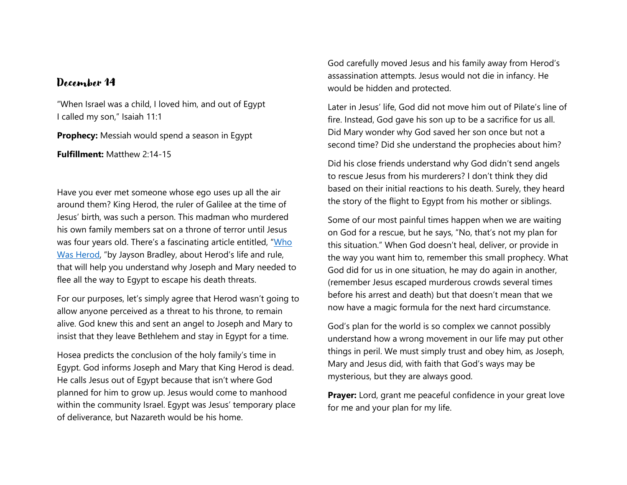"When Israel was a child, I loved him, and out of Egypt I called my son," Isaiah 11:1

**Prophecy:** Messiah would spend a season in Egypt

**Fulfillment:** Matthew 2:14-15

Have you ever met someone whose ego uses up all the air around them? King Herod, the ruler of Galilee at the time of Jesus' birth, was such a person. This madman who murdered his own family members sat on a throne of terror until Jesus was four years old. There's a fascinating article entitled, "[Who](https://overviewbible.com/who-was-herod/)  [Was Herod](https://overviewbible.com/who-was-herod/), "by Jayson Bradley, about Herod's life and rule, that will help you understand why Joseph and Mary needed to flee all the way to Egypt to escape his death threats.

For our purposes, let's simply agree that Herod wasn't going to allow anyone perceived as a threat to his throne, to remain alive. God knew this and sent an angel to Joseph and Mary to insist that they leave Bethlehem and stay in Egypt for a time.

Hosea predicts the conclusion of the holy family's time in Egypt. God informs Joseph and Mary that King Herod is dead. He calls Jesus out of Egypt because that isn't where God planned for him to grow up. Jesus would come to manhood within the community Israel. Egypt was Jesus' temporary place of deliverance, but Nazareth would be his home.

God carefully moved Jesus and his family away from Herod's assassination attempts. Jesus would not die in infancy. He would be hidden and protected.

Later in Jesus' life, God did not move him out of Pilate's line of fire. Instead, God gave his son up to be a sacrifice for us all. Did Mary wonder why God saved her son once but not a second time? Did she understand the prophecies about him?

Did his close friends understand why God didn't send angels to rescue Jesus from his murderers? I don't think they did based on their initial reactions to his death. Surely, they heard the story of the flight to Egypt from his mother or siblings.

Some of our most painful times happen when we are waiting on God for a rescue, but he says, "No, that's not my plan for this situation." When God doesn't heal, deliver, or provide in the way you want him to, remember this small prophecy. What God did for us in one situation, he may do again in another, (remember Jesus escaped murderous crowds several times before his arrest and death) but that doesn't mean that we now have a magic formula for the next hard circumstance.

God's plan for the world is so complex we cannot possibly understand how a wrong movement in our life may put other things in peril. We must simply trust and obey him, as Joseph, Mary and Jesus did, with faith that God's ways may be mysterious, but they are always good.

**Prayer:** Lord, grant me peaceful confidence in your great love for me and your plan for my life.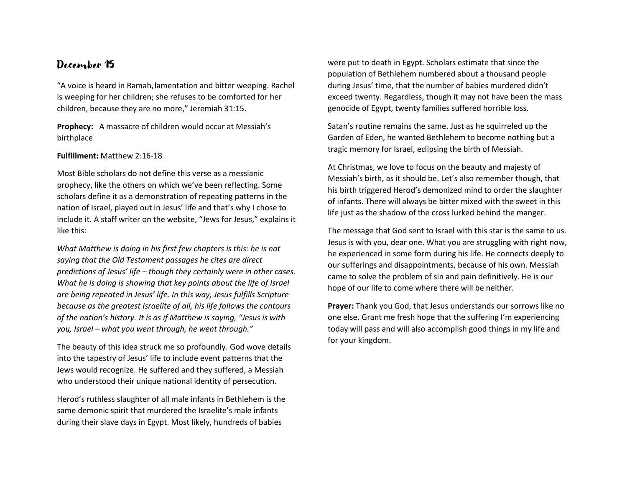"A voice is heard in Ramah,lamentation and bitter weeping. Rachel is weeping for her children; she refuses to be comforted for her children, because they are no more," Jeremiah 31:15.

**Prophecy:** A massacre of children would occur at Messiah's birthplace

#### **Fulfillment:** Matthew 2:16-18

Most Bible scholars do not define this verse as a messianic prophecy, like the others on which we've been reflecting. Some scholars define it as a demonstration of repeating patterns in the nation of Israel, played out in Jesus' life and that's why I chose to include it. A staff writer on the website, "Jews for Jesus," explains it like this:

*What Matthew is doing in his first few chapters is this: he is not saying that the Old Testament passages he cites are direct predictions of Jesus' life – though they certainly were in other cases. What he is doing is showing that key points about the life of Israel are being repeated in Jesus' life. In this way, Jesus fulfills Scripture because as the greatest Israelite of all, his life follows the contours of the nation's history. It is as if Matthew is saying, "Jesus is with you, Israel – what you went through, he went through."*

The beauty of this idea struck me so profoundly. God wove details into the tapestry of Jesus' life to include event patterns that the Jews would recognize. He suffered and they suffered, a Messiah who understood their unique national identity of persecution.

Herod's ruthless slaughter of all male infants in Bethlehem is the same demonic spirit that murdered the Israelite's male infants during their slave days in Egypt. Most likely, hundreds of babies

were put to death in Egypt. Scholars estimate that since the population of Bethlehem numbered about a thousand people during Jesus' time, that the number of babies murdered didn't exceed twenty. Regardless, though it may not have been the mass genocide of Egypt, twenty families suffered horrible loss.

Satan's routine remains the same. Just as he squirreled up the Garden of Eden, he wanted Bethlehem to become nothing but a tragic memory for Israel, eclipsing the birth of Messiah.

At Christmas, we love to focus on the beauty and majesty of Messiah's birth, as it should be. Let's also remember though, that his birth triggered Herod's demonized mind to order the slaughter of infants. There will always be bitter mixed with the sweet in this life just as the shadow of the cross lurked behind the manger.

The message that God sent to Israel with this star is the same to us. Jesus is with you, dear one. What you are struggling with right now, he experienced in some form during his life. He connects deeply to our sufferings and disappointments, because of his own. Messiah came to solve the problem of sin and pain definitively. He is our hope of our life to come where there will be neither.

**Prayer:** Thank you God, that Jesus understands our sorrows like no one else. Grant me fresh hope that the suffering I'm experiencing today will pass and will also accomplish good things in my life and for your kingdom.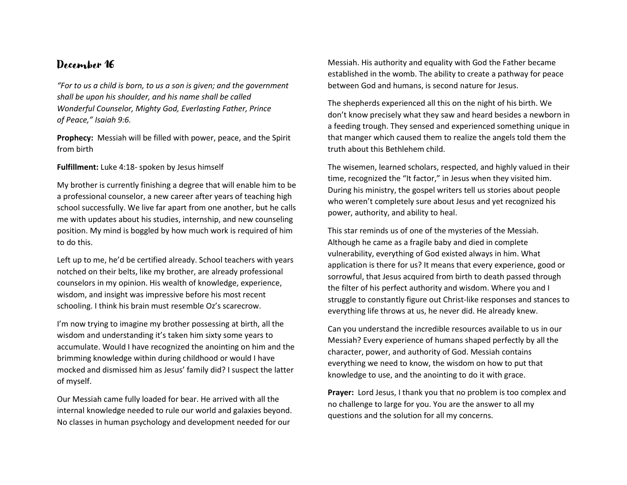*"For to us a child is born, to us a son is given; and the government shall be upon his shoulder, and his name shall be called Wonderful Counselor, Mighty God, Everlasting Father, Prince of Peace," Isaiah 9:6.*

**Prophecy:** Messiah will be filled with power, peace, and the Spirit from birth

**Fulfillment:** Luke 4:18- spoken by Jesus himself

My brother is currently finishing a degree that will enable him to be a professional counselor, a new career after years of teaching high school successfully. We live far apart from one another, but he calls me with updates about his studies, internship, and new counseling position. My mind is boggled by how much work is required of him to do this.

Left up to me, he'd be certified already. School teachers with years notched on their belts, like my brother, are already professional counselors in my opinion. His wealth of knowledge, experience, wisdom, and insight was impressive before his most recent schooling. I think his brain must resemble Oz's scarecrow.

I'm now trying to imagine my brother possessing at birth, all the wisdom and understanding it's taken him sixty some years to accumulate. Would I have recognized the anointing on him and the brimming knowledge within during childhood or would I have mocked and dismissed him as Jesus' family did? I suspect the latter of myself.

Our Messiah came fully loaded for bear. He arrived with all the internal knowledge needed to rule our world and galaxies beyond. No classes in human psychology and development needed for our

Messiah. His authority and equality with God the Father became established in the womb. The ability to create a pathway for peace between God and humans, is second nature for Jesus.

The shepherds experienced all this on the night of his birth. We don't know precisely what they saw and heard besides a newborn in a feeding trough. They sensed and experienced something unique in that manger which caused them to realize the angels told them the truth about this Bethlehem child.

The wisemen, learned scholars, respected, and highly valued in their time, recognized the "It factor," in Jesus when they visited him. During his ministry, the gospel writers tell us stories about people who weren't completely sure about Jesus and yet recognized his power, authority, and ability to heal.

This star reminds us of one of the mysteries of the Messiah. Although he came as a fragile baby and died in complete vulnerability, everything of God existed always in him. What application is there for us? It means that every experience, good or sorrowful, that Jesus acquired from birth to death passed through the filter of his perfect authority and wisdom. Where you and I struggle to constantly figure out Christ-like responses and stances to everything life throws at us, he never did. He already knew.

Can you understand the incredible resources available to us in our Messiah? Every experience of humans shaped perfectly by all the character, power, and authority of God. Messiah contains everything we need to know, the wisdom on how to put that knowledge to use, and the anointing to do it with grace.

**Prayer:** Lord Jesus, I thank you that no problem is too complex and no challenge to large for you. You are the answer to all my questions and the solution for all my concerns.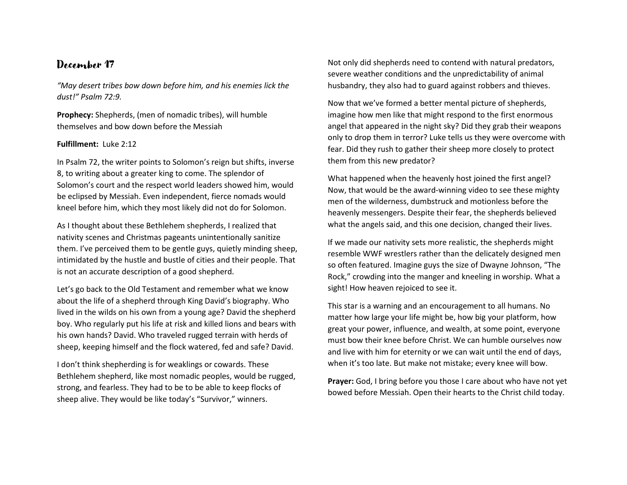*"May desert tribes bow down before him, and his enemies lick the dust!" Psalm 72:9.*

**Prophecy:** Shepherds, (men of nomadic tribes), will humble themselves and bow down before the Messiah

#### **Fulfillment:** Luke 2:12

In Psalm 72, the writer points to Solomon's reign but shifts, inverse 8, to writing about a greater king to come. The splendor of Solomon's court and the respect world leaders showed him, would be eclipsed by Messiah. Even independent, fierce nomads would kneel before him, which they most likely did not do for Solomon.

As I thought about these Bethlehem shepherds, I realized that nativity scenes and Christmas pageants unintentionally sanitize them. I've perceived them to be gentle guys, quietly minding sheep, intimidated by the hustle and bustle of cities and their people. That is not an accurate description of a good shepherd.

Let's go back to the Old Testament and remember what we know about the life of a shepherd through King David's biography. Who lived in the wilds on his own from a young age? David the shepherd boy. Who regularly put his life at risk and killed lions and bears with his own hands? David. Who traveled rugged terrain with herds of sheep, keeping himself and the flock watered, fed and safe? David.

I don't think shepherding is for weaklings or cowards. These Bethlehem shepherd, like most nomadic peoples, would be rugged, strong, and fearless. They had to be to be able to keep flocks of sheep alive. They would be like today's "Survivor," winners.

Not only did shepherds need to contend with natural predators, severe weather conditions and the unpredictability of animal husbandry, they also had to guard against robbers and thieves.

Now that we've formed a better mental picture of shepherds, imagine how men like that might respond to the first enormous angel that appeared in the night sky? Did they grab their weapons only to drop them in terror? Luke tells us they were overcome with fear. Did they rush to gather their sheep more closely to protect them from this new predator?

What happened when the heavenly host joined the first angel? Now, that would be the award-winning video to see these mighty men of the wilderness, dumbstruck and motionless before the heavenly messengers. Despite their fear, the shepherds believed what the angels said, and this one decision, changed their lives.

If we made our nativity sets more realistic, the shepherds might resemble WWF wrestlers rather than the delicately designed men so often featured. Imagine guys the size of Dwayne Johnson, "The Rock," crowding into the manger and kneeling in worship. What a sight! How heaven rejoiced to see it.

This star is a warning and an encouragement to all humans. No matter how large your life might be, how big your platform, how great your power, influence, and wealth, at some point, everyone must bow their knee before Christ. We can humble ourselves now and live with him for eternity or we can wait until the end of days, when it's too late. But make not mistake; every knee will bow.

**Prayer:** God, I bring before you those I care about who have not yet bowed before Messiah. Open their hearts to the Christ child today.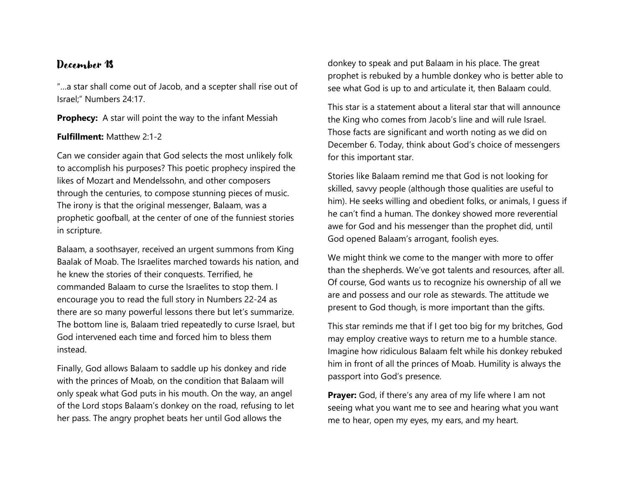"…a star shall come out of Jacob, and a scepter shall rise out of Israel;" Numbers 24:17.

**Prophecy:** A star will point the way to the infant Messiah

### **Fulfillment:** Matthew 2:1-2

Can we consider again that God selects the most unlikely folk to accomplish his purposes? This poetic prophecy inspired the likes of Mozart and Mendelssohn, and other composers through the centuries, to compose stunning pieces of music. The irony is that the original messenger, Balaam, was a prophetic goofball, at the center of one of the funniest stories in scripture.

Balaam, a soothsayer, received an urgent summons from King Baalak of Moab. The Israelites marched towards his nation, and he knew the stories of their conquests. Terrified, he commanded Balaam to curse the Israelites to stop them. I encourage you to read the full story in Numbers 22-24 as there are so many powerful lessons there but let's summarize. The bottom line is, Balaam tried repeatedly to curse Israel, but God intervened each time and forced him to bless them instead.

Finally, God allows Balaam to saddle up his donkey and ride with the princes of Moab, on the condition that Balaam will only speak what God puts in his mouth. On the way, an angel of the Lord stops Balaam's donkey on the road, refusing to let her pass. The angry prophet beats her until God allows the

donkey to speak and put Balaam in his place. The great prophet is rebuked by a humble donkey who is better able to see what God is up to and articulate it, then Balaam could.

This star is a statement about a literal star that will announce the King who comes from Jacob's line and will rule Israel. Those facts are significant and worth noting as we did on December 6. Today, think about God's choice of messengers for this important star.

Stories like Balaam remind me that God is not looking for skilled, savvy people (although those qualities are useful to him). He seeks willing and obedient folks, or animals, I guess if he can't find a human. The donkey showed more reverential awe for God and his messenger than the prophet did, until God opened Balaam's arrogant, foolish eyes.

We might think we come to the manger with more to offer than the shepherds. We've got talents and resources, after all. Of course, God wants us to recognize his ownership of all we are and possess and our role as stewards. The attitude we present to God though, is more important than the gifts.

This star reminds me that if I get too big for my britches, God may employ creative ways to return me to a humble stance. Imagine how ridiculous Balaam felt while his donkey rebuked him in front of all the princes of Moab. Humility is always the passport into God's presence.

**Prayer:** God, if there's any area of my life where I am not seeing what you want me to see and hearing what you want me to hear, open my eyes, my ears, and my heart.